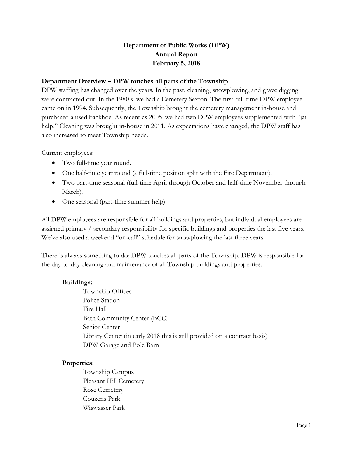# **Department of Public Works (DPW) Annual Report February 5, 2018**

### **Department Overview – DPW touches all parts of the Township**

DPW staffing has changed over the years. In the past, cleaning, snowplowing, and grave digging were contracted out. In the 1980's, we had a Cemetery Sexton. The first full-time DPW employee came on in 1994. Subsequently, the Township brought the cemetery management in-house and purchased a used backhoe. As recent as 2005, we had two DPW employees supplemented with "jail help." Cleaning was brought in-house in 2011. As expectations have changed, the DPW staff has also increased to meet Township needs.

Current employees:

- Two full-time year round.
- One half-time year round (a full-time position split with the Fire Department).
- Two part-time seasonal (full-time April through October and half-time November through March).
- One seasonal (part-time summer help).

All DPW employees are responsible for all buildings and properties, but individual employees are assigned primary / secondary responsibility for specific buildings and properties the last five years. We've also used a weekend "on-call" schedule for snowplowing the last three years.

There is always something to do; DPW touches all parts of the Township. DPW is responsible for the day-to-day cleaning and maintenance of all Township buildings and properties.

### **Buildings:**

Township Offices Police Station Fire Hall Bath Community Center (BCC) Senior Center Library Center (in early 2018 this is still provided on a contract basis) DPW Garage and Pole Barn

### **Properties:**

Township Campus Pleasant Hill Cemetery Rose Cemetery Couzens Park Wiswasser Park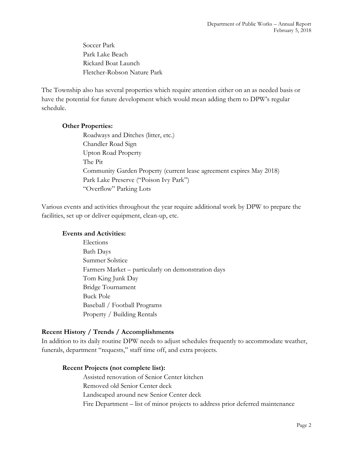Soccer Park Park Lake Beach Rickard Boat Launch Fletcher-Robson Nature Park

The Township also has several properties which require attention either on an as needed basis or have the potential for future development which would mean adding them to DPW's regular schedule.

#### **Other Properties:**

Roadways and Ditches (litter, etc.) Chandler Road Sign Upton Road Property The Pit Community Garden Property (current lease agreement expires May 2018) Park Lake Preserve ("Poison Ivy Park") "Overflow" Parking Lots

Various events and activities throughout the year require additional work by DPW to prepare the facilities, set up or deliver equipment, clean-up, etc.

### **Events and Activities:**

Elections Bath Days Summer Solstice Farmers Market – particularly on demonstration days Tom King Junk Day Bridge Tournament Buck Pole Baseball / Football Programs Property / Building Rentals

### **Recent History / Trends / Accomplishments**

In addition to its daily routine DPW needs to adjust schedules frequently to accommodate weather, funerals, department "requests," staff time off, and extra projects.

### **Recent Projects (not complete list):**

Assisted renovation of Senior Center kitchen Removed old Senior Center deck Landscaped around new Senior Center deck Fire Department – list of minor projects to address prior deferred maintenance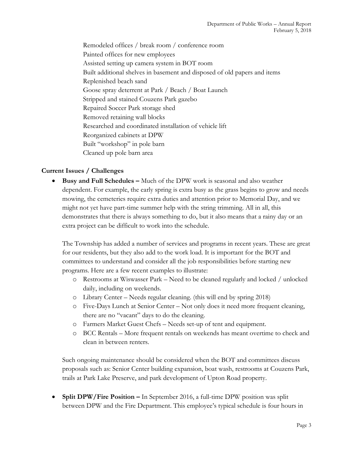Remodeled offices / break room / conference room Painted offices for new employees Assisted setting up camera system in BOT room Built additional shelves in basement and disposed of old papers and items Replenished beach sand Goose spray deterrent at Park / Beach / Boat Launch Stripped and stained Couzens Park gazebo Repaired Soccer Park storage shed Removed retaining wall blocks Researched and coordinated installation of vehicle lift Reorganized cabinets at DPW Built "workshop" in pole barn Cleaned up pole barn area

## **Current Issues / Challenges**

 **Busy and Full Schedules –** Much of the DPW work is seasonal and also weather dependent. For example, the early spring is extra busy as the grass begins to grow and needs mowing, the cemeteries require extra duties and attention prior to Memorial Day, and we might not yet have part-time summer help with the string trimming. All in all, this demonstrates that there is always something to do, but it also means that a rainy day or an extra project can be difficult to work into the schedule.

The Township has added a number of services and programs in recent years. These are great for our residents, but they also add to the work load. It is important for the BOT and committees to understand and consider all the job responsibilities before starting new programs. Here are a few recent examples to illustrate:

- o Restrooms at Wiswasser Park Need to be cleaned regularly and locked / unlocked daily, including on weekends.
- o Library Center Needs regular cleaning. (this will end by spring 2018)
- o Five-Days Lunch at Senior Center Not only does it need more frequent cleaning, there are no "vacant" days to do the cleaning.
- o Farmers Market Guest Chefs Needs set-up of tent and equipment.
- o BCC Rentals More frequent rentals on weekends has meant overtime to check and clean in between renters.

Such ongoing maintenance should be considered when the BOT and committees discuss proposals such as: Senior Center building expansion, boat wash, restrooms at Couzens Park, trails at Park Lake Preserve, and park development of Upton Road property.

 **Split DPW/Fire Position –** In September 2016, a full-time DPW position was split between DPW and the Fire Department. This employee's typical schedule is four hours in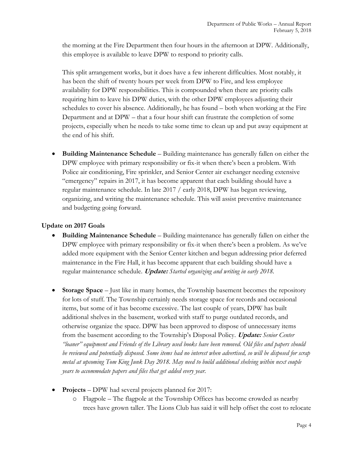the morning at the Fire Department then four hours in the afternoon at DPW. Additionally, this employee is available to leave DPW to respond to priority calls.

This split arrangement works, but it does have a few inherent difficulties. Most notably, it has been the shift of twenty hours per week from DPW to Fire, and less employee availability for DPW responsibilities. This is compounded when there are priority calls requiring him to leave his DPW duties, with the other DPW employees adjusting their schedules to cover his absence. Additionally, he has found – both when working at the Fire Department and at DPW – that a four hour shift can frustrate the completion of some projects, especially when he needs to take some time to clean up and put away equipment at the end of his shift.

 **Building Maintenance Schedule** – Building maintenance has generally fallen on either the DPW employee with primary responsibility or fix-it when there's been a problem. With Police air conditioning, Fire sprinkler, and Senior Center air exchanger needing extensive "emergency" repairs in 2017, it has become apparent that each building should have a regular maintenance schedule. In late 2017 / early 2018, DPW has begun reviewing, organizing, and writing the maintenance schedule. This will assist preventive maintenance and budgeting going forward.

## **Update on 2017 Goals**

- **Building Maintenance Schedule**  Building maintenance has generally fallen on either the DPW employee with primary responsibility or fix-it when there's been a problem. As we've added more equipment with the Senior Center kitchen and begun addressing prior deferred maintenance in the Fire Hall, it has become apparent that each building should have a regular maintenance schedule. **Update:** *Started organizing and writing in early 2018.*
- **Storage Space** Just like in many homes, the Township basement becomes the repository for lots of stuff. The Township certainly needs storage space for records and occasional items, but some of it has become excessive. The last couple of years, DPW has built additional shelves in the basement, worked with staff to purge outdated records, and otherwise organize the space. DPW has been approved to dispose of unnecessary items from the basement according to the Township's Disposal Policy. **Update:** *Senior Center "loaner" equipment and Friends of the Library used books have been removed. Old files and papers should be reviewed and potentially disposed. Some items had no interest when advertised, so will be disposed for scrap metal at upcoming Tom King Junk Day 2018. May need to build additional shelving within next couple years to accommodate papers and files that get added every year.*
- **Projects** DPW had several projects planned for 2017:
	- o Flagpole The flagpole at the Township Offices has become crowded as nearby trees have grown taller. The Lions Club has said it will help offset the cost to relocate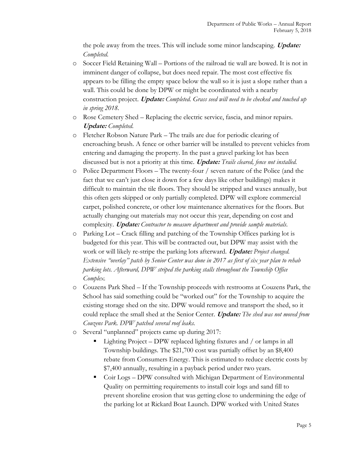the pole away from the trees. This will include some minor landscaping. **Update:**  *Completed.*

- o Soccer Field Retaining Wall Portions of the railroad tie wall are bowed. It is not in imminent danger of collapse, but does need repair. The most cost effective fix appears to be filling the empty space below the wall so it is just a slope rather than a wall. This could be done by DPW or might be coordinated with a nearby construction project. **Update:** *Completed. Grass seed will need to be checked and touched up in spring 2018.*
- o Rose Cemetery Shed Replacing the electric service, fascia, and minor repairs. **Update:** *Completed.*
- o Fletcher Robson Nature Park The trails are due for periodic clearing of encroaching brush. A fence or other barrier will be installed to prevent vehicles from entering and damaging the property. In the past a gravel parking lot has been discussed but is not a priority at this time. **Update:** *Trails cleared, fence not installed.*
- o Police Department Floors The twenty-four / seven nature of the Police (and the fact that we can't just close it down for a few days like other buildings) makes it difficult to maintain the tile floors. They should be stripped and waxes annually, but this often gets skipped or only partially completed. DPW will explore commercial carpet, polished concrete, or other low maintenance alternatives for the floors. But actually changing out materials may not occur this year, depending on cost and complexity. **Update:** *Contractor to measure department and provide sample materials.*
- o Parking Lot Crack filling and patching of the Township Offices parking lot is budgeted for this year. This will be contracted out, but DPW may assist with the work or will likely re-stripe the parking lots afterward. **Update:** *Project changed. Extensive "overlay" patch by Senior Center was done in 2017 as first of six year plan to rehab parking lots. Afterward, DPW striped the parking stalls throughout the Township Office Complex.*
- o Couzens Park Shed If the Township proceeds with restrooms at Couzens Park, the School has said something could be "worked out" for the Township to acquire the existing storage shed on the site. DPW would remove and transport the shed, so it could replace the small shed at the Senior Center. **Update:** *The shed was not moved from Couzens Park. DPW patched several roof leaks.*
- o Several "unplanned" projects came up during 2017:
	- Lighting Project DPW replaced lighting fixtures and / or lamps in all Township buildings. The \$21,700 cost was partially offset by an \$8,400 rebate from Consumers Energy. This is estimated to reduce electric costs by \$7,400 annually, resulting in a payback period under two years.
	- Coir Logs DPW consulted with Michigan Department of Environmental Quality on permitting requirements to install coir logs and sand fill to prevent shoreline erosion that was getting close to undermining the edge of the parking lot at Rickard Boat Launch. DPW worked with United States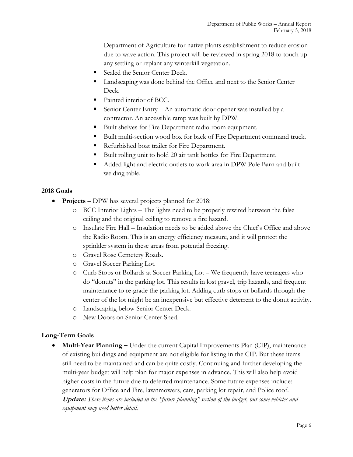Department of Agriculture for native plants establishment to reduce erosion due to wave action. This project will be reviewed in spring 2018 to touch up any settling or replant any winterkill vegetation.

- Sealed the Senior Center Deck.
- Landscaping was done behind the Office and next to the Senior Center Deck.
- Painted interior of BCC.
- Senior Center Entry An automatic door opener was installed by a contractor. An accessible ramp was built by DPW.
- Built shelves for Fire Department radio room equipment.
- Built multi-section wood box for back of Fire Department command truck.
- Refurbished boat trailer for Fire Department.
- Built rolling unit to hold 20 air tank bottles for Fire Department.
- Added light and electric outlets to work area in DPW Pole Barn and built welding table.

### **2018 Goals**

- **Projects** DPW has several projects planned for 2018:
	- o BCC Interior Lights The lights need to be properly rewired between the false ceiling and the original ceiling to remove a fire hazard.
	- o Insulate Fire Hall Insulation needs to be added above the Chief's Office and above the Radio Room. This is an energy efficiency measure, and it will protect the sprinkler system in these areas from potential freezing.
	- o Gravel Rose Cemetery Roads.
	- o Gravel Soccer Parking Lot.
	- o Curb Stops or Bollards at Soccer Parking Lot We frequently have teenagers who do "donuts" in the parking lot. This results in lost gravel, trip hazards, and frequent maintenance to re-grade the parking lot. Adding curb stops or bollards through the center of the lot might be an inexpensive but effective deterrent to the donut activity.
	- o Landscaping below Senior Center Deck.
	- o New Doors on Senior Center Shed.

### **Long-Term Goals**

 **Multi-Year Planning –** Under the current Capital Improvements Plan (CIP), maintenance of existing buildings and equipment are not eligible for listing in the CIP. But these items still need to be maintained and can be quite costly. Continuing and further developing the multi-year budget will help plan for major expenses in advance. This will also help avoid higher costs in the future due to deferred maintenance. Some future expenses include: generators for Office and Fire, lawnmowers, cars, parking lot repair, and Police roof. **Update:** *These items are included in the "future planning" section of the budget, but some vehicles and equipment may need better detail.*